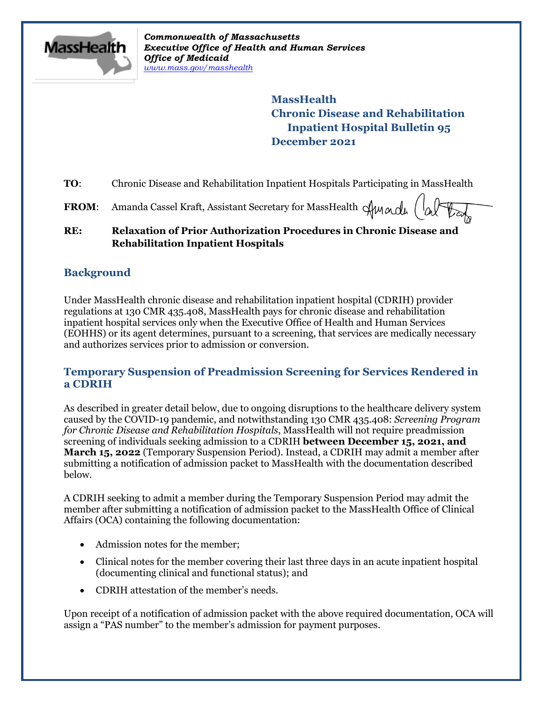

*Commonwealth of Massachusetts Executive Office of Health and Human Services Office of Medicaid [www.mass.gov/masshealth](http://www.mass.gov/masshealth)*

> **MassHealth Chronic Disease and Rehabilitation Inpatient Hospital Bulletin 95 December 2021**

**TO:** Chronic Disease and Rehabilitation Inpatient Hospitals Participating in MassHealth

**FROM:** Amanda Cassel Kraft, Assistant Secretary for MassHealth  $\mathcal{A}$ Mandh

### **RE: Relaxation of Prior Authorization Procedures in Chronic Disease and Rehabilitation Inpatient Hospitals**

# **Background**

Under MassHealth chronic disease and rehabilitation inpatient hospital (CDRIH) provider regulations at 130 CMR 435.408, MassHealth pays for chronic disease and rehabilitation inpatient hospital services only when the Executive Office of Health and Human Services (EOHHS) or its agent determines, pursuant to a screening, that services are medically necessary and authorizes services prior to admission or conversion.

## **Temporary Suspension of Preadmission Screening for Services Rendered in a CDRIH**

As described in greater detail below, due to ongoing disruptions to the healthcare delivery system caused by the COVID-19 pandemic, and notwithstanding 130 CMR 435.408: *Screening Program for Chronic Disease and Rehabilitation Hospitals*, MassHealth will not require preadmission screening of individuals seeking admission to a CDRIH **between December 15, 2021, and March 15, 2022** (Temporary Suspension Period). Instead, a CDRIH may admit a member after submitting a notification of admission packet to MassHealth with the documentation described below.

A CDRIH seeking to admit a member during the Temporary Suspension Period may admit the member after submitting a notification of admission packet to the MassHealth Office of Clinical Affairs (OCA) containing the following documentation:

- Admission notes for the member;
- Clinical notes for the member covering their last three days in an acute inpatient hospital (documenting clinical and functional status); and
- CDRIH attestation of the member's needs.

Upon receipt of a notification of admission packet with the above required documentation, OCA will assign a "PAS number" to the member's admission for payment purposes.